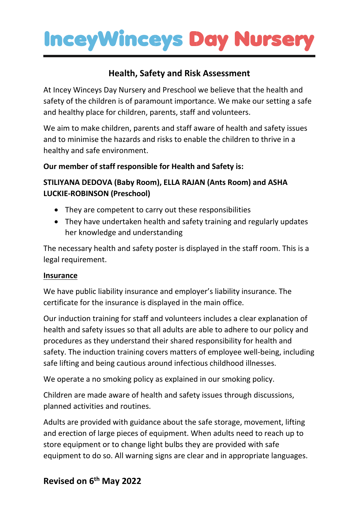## **InceyWinceys Day Nursery**

## **Health, Safety and Risk Assessment**

At Incey Winceys Day Nursery and Preschool we believe that the health and safety of the children is of paramount importance. We make our setting a safe and healthy place for children, parents, staff and volunteers.

We aim to make children, parents and staff aware of health and safety issues and to minimise the hazards and risks to enable the children to thrive in a healthy and safe environment.

### **Our member of staff responsible for Health and Safety is:**

### **STILIYANA DEDOVA (Baby Room), ELLA RAJAN (Ants Room) and ASHA LUCKIE-ROBINSON (Preschool)**

- They are competent to carry out these responsibilities
- They have undertaken health and safety training and regularly updates her knowledge and understanding

The necessary health and safety poster is displayed in the staff room. This is a legal requirement.

#### **Insurance**

We have public liability insurance and employer's liability insurance. The certificate for the insurance is displayed in the main office.

Our induction training for staff and volunteers includes a clear explanation of health and safety issues so that all adults are able to adhere to our policy and procedures as they understand their shared responsibility for health and safety. The induction training covers matters of employee well-being, including safe lifting and being cautious around infectious childhood illnesses.

We operate a no smoking policy as explained in our smoking policy.

Children are made aware of health and safety issues through discussions, planned activities and routines.

Adults are provided with guidance about the safe storage, movement, lifting and erection of large pieces of equipment. When adults need to reach up to store equipment or to change light bulbs they are provided with safe equipment to do so. All warning signs are clear and in appropriate languages.

### **Revised on 6 th May 2022**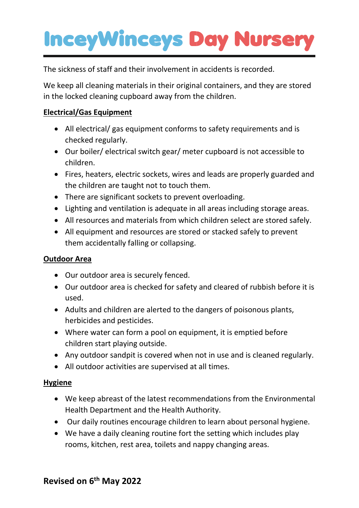# **InceyWinceys Day Nurse**

The sickness of staff and their involvement in accidents is recorded.

We keep all cleaning materials in their original containers, and they are stored in the locked cleaning cupboard away from the children.

### **Electrical/Gas Equipment**

- All electrical/ gas equipment conforms to safety requirements and is checked regularly.
- Our boiler/ electrical switch gear/ meter cupboard is not accessible to children.
- Fires, heaters, electric sockets, wires and leads are properly guarded and the children are taught not to touch them.
- There are significant sockets to prevent overloading.
- Lighting and ventilation is adequate in all areas including storage areas.
- All resources and materials from which children select are stored safely.
- All equipment and resources are stored or stacked safely to prevent them accidentally falling or collapsing.

### **Outdoor Area**

- Our outdoor area is securely fenced.
- Our outdoor area is checked for safety and cleared of rubbish before it is used.
- Adults and children are alerted to the dangers of poisonous plants, herbicides and pesticides.
- Where water can form a pool on equipment, it is emptied before children start playing outside.
- Any outdoor sandpit is covered when not in use and is cleaned regularly.
- All outdoor activities are supervised at all times.

#### **Hygiene**

- We keep abreast of the latest recommendations from the Environmental Health Department and the Health Authority.
- Our daily routines encourage children to learn about personal hygiene.
- We have a daily cleaning routine fort the setting which includes play rooms, kitchen, rest area, toilets and nappy changing areas.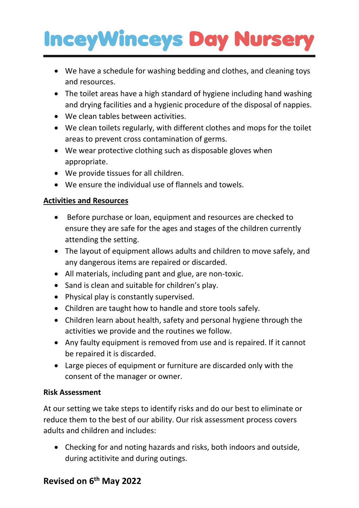## **InceyWinceys Day Nursery**

- We have a schedule for washing bedding and clothes, and cleaning toys and resources.
- The toilet areas have a high standard of hygiene including hand washing and drying facilities and a hygienic procedure of the disposal of nappies.
- We clean tables between activities.
- We clean toilets regularly, with different clothes and mops for the toilet areas to prevent cross contamination of germs.
- We wear protective clothing such as disposable gloves when appropriate.
- We provide tissues for all children.
- We ensure the individual use of flannels and towels.

### **Activities and Resources**

- Before purchase or loan, equipment and resources are checked to ensure they are safe for the ages and stages of the children currently attending the setting.
- The layout of equipment allows adults and children to move safely, and any dangerous items are repaired or discarded.
- All materials, including pant and glue, are non-toxic.
- Sand is clean and suitable for children's play.
- Physical play is constantly supervised.
- Children are taught how to handle and store tools safely.
- Children learn about health, safety and personal hygiene through the activities we provide and the routines we follow.
- Any faulty equipment is removed from use and is repaired. If it cannot be repaired it is discarded.
- Large pieces of equipment or furniture are discarded only with the consent of the manager or owner.

### **Risk Assessment**

At our setting we take steps to identify risks and do our best to eliminate or reduce them to the best of our ability. Our risk assessment process covers adults and children and includes:

• Checking for and noting hazards and risks, both indoors and outside, during actitivite and during outings.

## **Revised on 6 th May 2022**